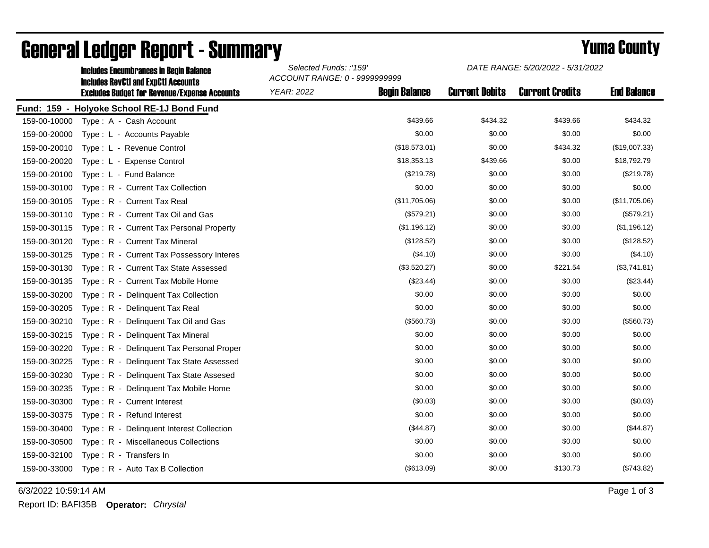|              | <b>Includes Encumbrances in Begin Balance</b>                                                     | Selected Funds: :'159'<br>ACCOUNT RANGE: 0 - 9999999999 |                      | DATE RANGE: 5/20/2022 - 5/31/2022 |                        |                    |
|--------------|---------------------------------------------------------------------------------------------------|---------------------------------------------------------|----------------------|-----------------------------------|------------------------|--------------------|
|              | <b>Includes RevCtI and ExpCtI Accounts</b><br><b>Excludes Budget for Revenue/Expense Accounts</b> | <b>YEAR: 2022</b>                                       | <b>Begin Balance</b> | <b>Current Debits</b>             | <b>Current Credits</b> | <b>End Balance</b> |
|              | Fund: 159 - Holyoke School RE-1J Bond Fund                                                        |                                                         |                      |                                   |                        |                    |
| 159-00-10000 | Type: A - Cash Account                                                                            |                                                         | \$439.66             | \$434.32                          | \$439.66               | \$434.32           |
| 159-00-20000 | Type: L - Accounts Payable                                                                        |                                                         | \$0.00               | \$0.00                            | \$0.00                 | \$0.00             |
| 159-00-20010 | Type: L - Revenue Control                                                                         |                                                         | (\$18,573.01)        | \$0.00                            | \$434.32               | (\$19,007.33)      |
| 159-00-20020 | Type: L - Expense Control                                                                         |                                                         | \$18,353.13          | \$439.66                          | \$0.00                 | \$18,792.79        |
| 159-00-20100 | Type: L - Fund Balance                                                                            |                                                         | (\$219.78)           | \$0.00                            | \$0.00                 | (\$219.78)         |
| 159-00-30100 | Type: R - Current Tax Collection                                                                  |                                                         | \$0.00               | \$0.00                            | \$0.00                 | \$0.00             |
| 159-00-30105 | Type: R - Current Tax Real                                                                        |                                                         | (\$11,705.06)        | \$0.00                            | \$0.00                 | (\$11,705.06)      |
| 159-00-30110 | Type: R - Current Tax Oil and Gas                                                                 |                                                         | (\$579.21)           | \$0.00                            | \$0.00                 | (\$579.21)         |
| 159-00-30115 | Type: R - Current Tax Personal Property                                                           |                                                         | (\$1,196.12)         | \$0.00                            | \$0.00                 | (\$1,196.12)       |
| 159-00-30120 | Type: R - Current Tax Mineral                                                                     |                                                         | (\$128.52)           | \$0.00                            | \$0.00                 | (\$128.52)         |
| 159-00-30125 | Type: R - Current Tax Possessory Interes                                                          |                                                         | (\$4.10)             | \$0.00                            | \$0.00                 | (\$4.10)           |
| 159-00-30130 | Type: R - Current Tax State Assessed                                                              |                                                         | (\$3,520.27)         | \$0.00                            | \$221.54               | (\$3,741.81)       |
| 159-00-30135 | Type: R - Current Tax Mobile Home                                                                 |                                                         | $(\$23.44)$          | \$0.00                            | \$0.00                 | (\$23.44)          |
| 159-00-30200 | Type: R - Delinquent Tax Collection                                                               |                                                         | \$0.00               | \$0.00                            | \$0.00                 | \$0.00             |
| 159-00-30205 | Type: R - Delinquent Tax Real                                                                     |                                                         | \$0.00               | \$0.00                            | \$0.00                 | \$0.00             |
| 159-00-30210 | Type: R - Delinquent Tax Oil and Gas                                                              |                                                         | (\$560.73)           | \$0.00                            | \$0.00                 | (\$560.73)         |
| 159-00-30215 | Type: R - Delinquent Tax Mineral                                                                  |                                                         | \$0.00               | \$0.00                            | \$0.00                 | \$0.00             |
| 159-00-30220 | Type: R - Delinquent Tax Personal Proper                                                          |                                                         | \$0.00               | \$0.00                            | \$0.00                 | \$0.00             |
| 159-00-30225 | Type: R - Delinquent Tax State Assessed                                                           |                                                         | \$0.00               | \$0.00                            | \$0.00                 | \$0.00             |
| 159-00-30230 | Type: R - Delinquent Tax State Assesed                                                            |                                                         | \$0.00               | \$0.00                            | \$0.00                 | \$0.00             |
| 159-00-30235 | Type: R - Delinguent Tax Mobile Home                                                              |                                                         | \$0.00               | \$0.00                            | \$0.00                 | \$0.00             |
| 159-00-30300 | Type: R - Current Interest                                                                        |                                                         | (\$0.03)             | \$0.00                            | \$0.00                 | (\$0.03)           |
| 159-00-30375 | Type: R - Refund Interest                                                                         |                                                         | \$0.00               | \$0.00                            | \$0.00                 | \$0.00             |
| 159-00-30400 | Type: R - Delinquent Interest Collection                                                          |                                                         | (\$44.87)            | \$0.00                            | \$0.00                 | (\$44.87)          |
| 159-00-30500 | Type: R - Miscellaneous Collections                                                               |                                                         | \$0.00               | \$0.00                            | \$0.00                 | \$0.00             |
| 159-00-32100 | Type: R - Transfers In                                                                            |                                                         | \$0.00               | \$0.00                            | \$0.00                 | \$0.00             |
| 159-00-33000 | Type: R - Auto Tax B Collection                                                                   |                                                         | (\$613.09)           | \$0.00                            | \$130.73               | (\$743.82)         |

## General Ledger Report - Summary **Second Europe County** Yuma County

6/3/2022 10:59:14 AM Page 1 of 3

Report ID: BAFI35B **Operator:** *Chrystal*

*DATE RANGE: 5/20/2022 - 5/31/2022*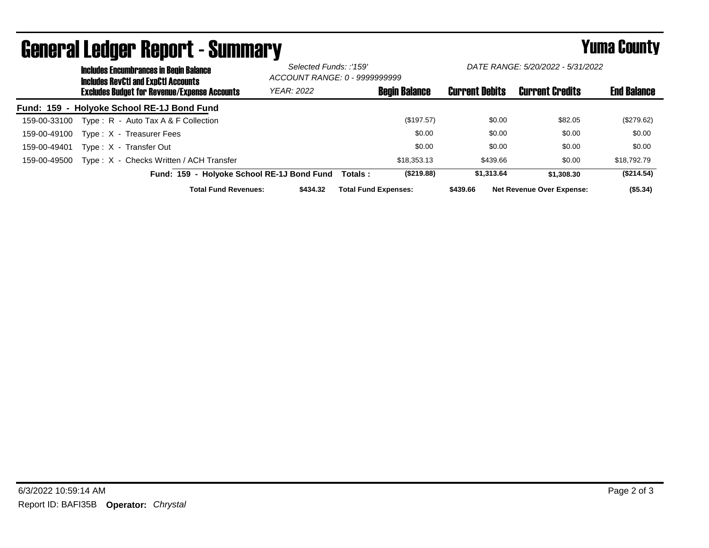|              |  | <b>Includes Encumbrances in Begin Balance</b><br><b>Includes RevCtI and ExpCtI Accounts</b><br><b>Excludes Budget for Revenue/Expense Accounts</b> |                                            | Selected Funds: :'159'<br>ACCOUNT RANGE: 0 - 9999999999 |                             | DATE RANGE: 5/20/2022 - 5/31/2022 |                       |                                  |                    |
|--------------|--|----------------------------------------------------------------------------------------------------------------------------------------------------|--------------------------------------------|---------------------------------------------------------|-----------------------------|-----------------------------------|-----------------------|----------------------------------|--------------------|
|              |  |                                                                                                                                                    |                                            | <b>YEAR: 2022</b>                                       |                             | <b>Begin Balance</b>              | <b>Current Debits</b> | <b>Current Credits</b>           | <b>End Balance</b> |
|              |  | Fund: 159 - Holyoke School RE-1J Bond Fund                                                                                                         |                                            |                                                         |                             |                                   |                       |                                  |                    |
| 159-00-33100 |  | Type: $R -$ Auto Tax A & F Collection                                                                                                              |                                            |                                                         |                             | (\$197.57)                        | \$0.00                | \$82.05                          | (\$279.62)         |
| 159-00-49100 |  | Type: X - Treasurer Fees                                                                                                                           |                                            |                                                         |                             | \$0.00                            | \$0.00                | \$0.00                           | \$0.00             |
| 159-00-49401 |  | Type: X - Transfer Out                                                                                                                             |                                            |                                                         |                             | \$0.00                            | \$0.00                | \$0.00                           | \$0.00             |
| 159-00-49500 |  | Type: X - Checks Written / ACH Transfer                                                                                                            |                                            |                                                         |                             | \$18,353.13                       | \$439.66              | \$0.00                           | \$18,792.79        |
|              |  |                                                                                                                                                    | Fund: 159 - Holyoke School RE-1J Bond Fund |                                                         | Totals :                    | (S219.88)                         | \$1.313.64            | \$1,308,30                       | (\$214.54)         |
|              |  |                                                                                                                                                    | <b>Total Fund Revenues:</b>                | \$434.32                                                | <b>Total Fund Expenses:</b> |                                   | \$439.66              | <b>Net Revenue Over Expense:</b> | $($ \$5.34)        |

## General Ledger Report - Summary **Example 2018** Yuma County